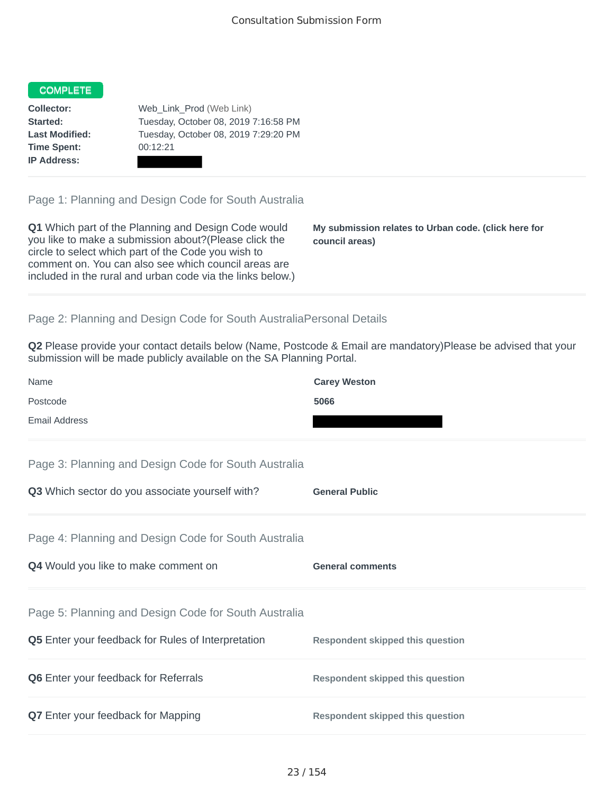## COMPLETE

**Time Spent:** 00:12:21 **IP Address:**

**Collector:** Web\_Link\_Prod (Web Link) **Started:** Tuesday, October 08, 2019 7:16:58 PM **Last Modified:** Tuesday, October 08, 2019 7:29:20 PM

Page 1: Planning and Design Code for South Australia

**Q1** Which part of the Planning and Design Code would you like to make a submission about?(Please click the circle to select which part of the Code you wish to comment on. You can also see which council areas are included in the rural and urban code via the links below.)

**My submission relates to Urban code. (click here for council areas)**

## Page 2: Planning and Design Code for South AustraliaPersonal Details

**Q2** Please provide your contact details below (Name, Postcode & Email are mandatory)Please be advised that your submission will be made publicly available on the SA Planning Portal.

| Name                                                 | <b>Carey Weston</b>                     |  |  |  |  |
|------------------------------------------------------|-----------------------------------------|--|--|--|--|
| Postcode                                             | 5066                                    |  |  |  |  |
| <b>Email Address</b>                                 |                                         |  |  |  |  |
| Page 3: Planning and Design Code for South Australia |                                         |  |  |  |  |
| Q3 Which sector do you associate yourself with?      | <b>General Public</b>                   |  |  |  |  |
| Page 4: Planning and Design Code for South Australia |                                         |  |  |  |  |
| Q4 Would you like to make comment on                 | <b>General comments</b>                 |  |  |  |  |
| Page 5: Planning and Design Code for South Australia |                                         |  |  |  |  |
| Q5 Enter your feedback for Rules of Interpretation   | <b>Respondent skipped this question</b> |  |  |  |  |
| <b>Q6</b> Enter your feedback for Referrals          | <b>Respondent skipped this question</b> |  |  |  |  |
| Q7 Enter your feedback for Mapping                   | <b>Respondent skipped this question</b> |  |  |  |  |